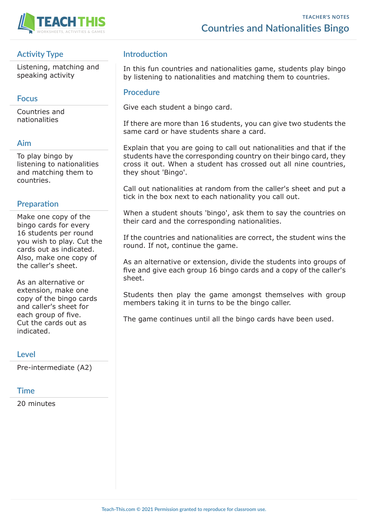

## **Activity Type**

Listening, matching and speaking activity

#### **Focus**

Countries and nationalities

#### **Aim**

To play bingo by listening to nationalities and matching them to countries.

### **Preparation**

Make one copy of the bingo cards for every 16 students per round you wish to play. Cut the cards out as indicated. Also, make one copy of the caller's sheet.

As an alternative or extension, make one copy of the bingo cards and caller's sheet for each group of five. Cut the cards out as indicated.

#### **Level**

Pre-intermediate (A2)

#### **Time**

20 minutes

#### **Introduction**

In this fun countries and nationalities game, students play bingo by listening to nationalities and matching them to countries.

#### **Procedure**

Give each student a bingo card.

If there are more than 16 students, you can give two students the same card or have students share a card.

Explain that you are going to call out nationalities and that if the students have the corresponding country on their bingo card, they cross it out. When a student has crossed out all nine countries, they shout 'Bingo'.

Call out nationalities at random from the caller's sheet and put a tick in the box next to each nationality you call out.

When a student shouts 'bingo', ask them to say the countries on their card and the corresponding nationalities.

If the countries and nationalities are correct, the student wins the round. If not, continue the game.

As an alternative or extension, divide the students into groups of five and give each group 16 bingo cards and a copy of the caller's sheet.

Students then play the game amongst themselves with group members taking it in turns to be the bingo caller.

The game continues until all the bingo cards have been used.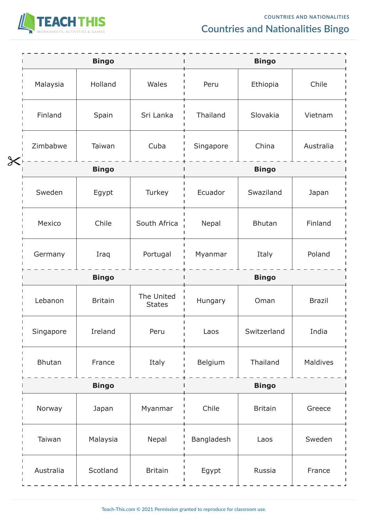

# **Countries and Nationalities Bingo**

|                       |                         | <b>Bingo</b>   |                             | <b>Bingo</b>            |               |               |  |
|-----------------------|-------------------------|----------------|-----------------------------|-------------------------|---------------|---------------|--|
|                       | Malaysia                | Holland        | Wales                       | Peru<br>Ethiopia        |               | Chile         |  |
|                       | Finland                 | Spain          | Sri Lanka                   | Thailand<br>Slovakia    |               | Vietnam       |  |
|                       | Zimbabwe                | Taiwan         | Cuba                        | Singapore               | China         | Australia     |  |
| $\boldsymbol{\times}$ | <b>Bingo</b>            |                |                             | <b>Bingo</b>            |               |               |  |
|                       | Sweden                  | Egypt          | Turkey                      | Swaziland<br>Ecuador    |               | Japan         |  |
|                       | Mexico                  | Chile          | South Africa                | Nepal                   | <b>Bhutan</b> | Finland       |  |
|                       | Germany                 | Iraq           | Portugal                    | Myanmar                 | Italy         | Poland        |  |
|                       | <b>Bingo</b>            |                | <b>Bingo</b>                |                         |               |               |  |
|                       | Lebanon                 | <b>Britain</b> | The United<br><b>States</b> | Hungary                 | Oman          | <b>Brazil</b> |  |
|                       | Singapore               | Ireland        | Peru                        | Switzerland<br>Laos     |               | India         |  |
|                       | <b>Bhutan</b><br>France |                | Italy                       | Belgium                 | Thailand      | Maldives      |  |
|                       | <b>Bingo</b>            |                |                             | <b>Bingo</b>            |               |               |  |
|                       | Norway                  | Japan          | Myanmar                     | Chile<br><b>Britain</b> |               | Greece        |  |
|                       | Taiwan                  | Malaysia       | Nepal                       | Bangladesh              | Laos          | Sweden        |  |
|                       | Australia               | Scotland       | <b>Britain</b>              | Egypt                   | Russia        | France        |  |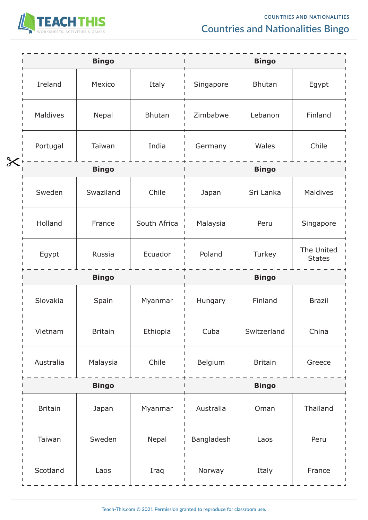

# **Countries and Nationalities Bingo**

|                       |                | <b>Bingo</b>   |               | <b>Bingo</b>               |                |                             |  |  |
|-----------------------|----------------|----------------|---------------|----------------------------|----------------|-----------------------------|--|--|
|                       | Ireland        | Mexico         | Italy         | <b>Bhutan</b><br>Singapore |                | Egypt                       |  |  |
|                       | Maldives       | Nepal          | <b>Bhutan</b> | Zimbabwe                   | Lebanon        | Finland                     |  |  |
|                       | Portugal       | Taiwan         | India         | Germany                    | Wales          | Chile                       |  |  |
| $\boldsymbol{\times}$ | <b>Bingo</b>   |                |               |                            | <b>Bingo</b>   |                             |  |  |
|                       | Sweden         | Swaziland      | Chile         | Sri Lanka<br>Japan         |                | Maldives                    |  |  |
|                       | Holland        | France         | South Africa  | Malaysia                   | Peru           | Singapore                   |  |  |
|                       | Egypt          | Russia         | Ecuador       | Poland                     | Turkey         | The United<br><b>States</b> |  |  |
|                       | <b>Bingo</b>   |                | <b>Bingo</b>  |                            |                |                             |  |  |
|                       | Slovakia       | Spain          | Myanmar       | Hungary                    | Finland        | <b>Brazil</b>               |  |  |
|                       | Vietnam        | <b>Britain</b> | Ethiopia      | Cuba<br>Switzerland        |                | China                       |  |  |
|                       | Australia      | Malaysia       | Chile         | Belgium                    | <b>Britain</b> | Greece                      |  |  |
|                       | <b>Bingo</b>   |                |               | <b>Bingo</b>               |                |                             |  |  |
|                       | <b>Britain</b> | Japan          | Myanmar       | Australia<br>Oman          |                | Thailand                    |  |  |
|                       | Taiwan         | Sweden         | Nepal         | Bangladesh                 | Laos           | Peru                        |  |  |
|                       | Scotland       | Laos           | Iraq          | Norway                     | Italy          | France                      |  |  |